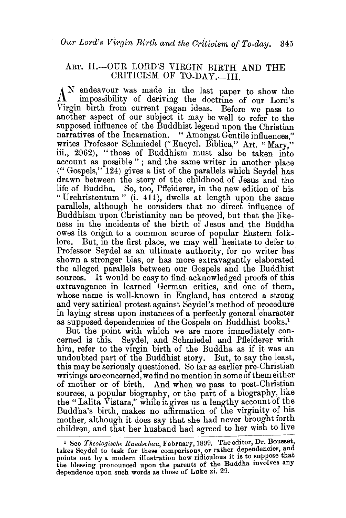## ART. II.-OUR LORD'S VIRGIN BIRTH AND THE CRITICISM OF TO-DAY.-III.

A<sup>N</sup> endeavour was made in the last paper to show the impossibility of deriving the doctrine of our Lord's Virgin birth from current pagan ideas. Before we pass to another aspect of our subject it may be well to refer to the supposed influence of the Buddhist legend upon the Christian narratives of the Incarnation. "Amongst Gentile influences." writes Professor Schmiedel (" Encycl. Biblica," Art. "Mary," iii., 2962), "those of Buddhism must also be taken into account as possible " ; and the same writer in another place ("Gospels," 124) gives a list of the parallels which Seydel has drawn between the story of the childhood of Jesus and the life of Buddha. So, too, Pfleiderer, in the new edition of his "Urchristentum" (i. 411), dwells at length upon the same parallels, although he considers that no direct influence of Buddhism upon Christianity can be proved, but that the likeness in the incidents of the birth of Jesus and the Buddha owes its origin to a common source of popular Eastern folk-But, in the first place, we may well hesitate to defer to Professor Seydel as an ultimate authority, for no writer has shown a stronger bias, or has more extravagantly elaborated the alleged parallels between our Gospels and the Buddhist sources. It would be easy to find acknowledged proofs of this extravagance in learned German critics, and one of them, whose name is well-known in England, has entered a strong and very satirical protest against Seydel's method of procedure in laying stress upon instances of a perfectly general character as supposed dependencies of the Gospels on Buddhist books.1

But the point with which we are more immediately concerned is this. Seydel, and Schmiedel and Pfleiderer with him, refer to the virgin birth of the Buddha as if it was an undoubted part of the Buddhist story. But, to say the least, this may be seriously questioned. So far as earlier pre-Christian writings are concerned, we find no mention in some of them either of mother or of birth. And when we pass to post-Christian sources, a popular biography, or the part of a biography, like the "Lalita Vistara," while it gives us a lengthy account of the Buddha's birth, makes no affirmation of the virginity of his mother, although it does say that she had never brought forth children, and that her husband had agreed to her wish to live

<sup>&</sup>lt;sup>1</sup> See *Theologische Rundschau*, February, 1899. The editor, Dr. Bousset, takes Seydel to task for these comparisons, or rather dependencies, and points out by a modern illustration how ridiculous it is to suppose that the blessing pronounced upon the parents of the Buddha involves any dependence upon such words as those of Luke xi. 29.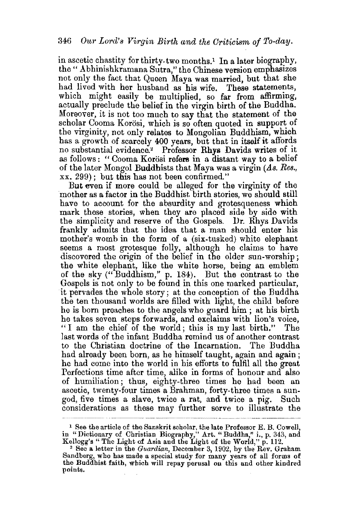in ascetic chastity for thirty-two months.<sup>1</sup> In a later biography, the "Abhinishkramana Sutra," the Chinese version emphasizes not only the fact that Queen Maya was married, but that she had lived with her husband as his wife. These statements, which might easily be multiplied, so far from affirming, actually preclude the belief in the virgin birth of the Buddha. Moreover, it is not too much to say that the statement of the scholar Cooma Korosi, which is so often quoted in support of the virginity, not only relates to Mongolian Buddhism, which has a growth of scarcely 400 years, but that in itself it affords no substantial evidence.<sup>2</sup> Professor Rhys Davids writes of it as follows: " Cooma Korösi refers in a distant way to a belief of the later Mongol Buddhists that Maya was a virgin *(As. Res.,* xx. 299); but this has not been confirmed."

But even if more could be alleged for the virginity of the mother as a factor in the Buddhist. birth stories, we should still have to account for the absurdity and grotesqueness which mark these stories, when they are placed side by side with the simplicity and reserve of the Gospels. Dr. Rhys Davids frankly admits that the idea that a man should enter his mother's womb in the form of a (six-tusked) white elephant seems a most grotesque folly, although he claims to have discovered the origin of the belief in the older sun-worship; the white elephant, like the white horse, being an emblem of the sky ("Buddhism," p. 184). But the contrast to the Gospels is not only to be found in this one marked particular, it pervades the whole story; at the conception of the Buddha the ten thousand worlds are filled with light, the child before he is born preaches to the angels who guard him ; at his birth he takes seven steps forwards, and exclaims with lion's voice,  $1$  am the chief of the world; this is my last birth." last words of the infant Buddha remind us of another contrast to the Christian doctrine of the Incarnation. The Buddha had already been born, as he himself taught, again and again ; he had come into the world in his efforts to fulfil all the great Perfections time after time, alike in forms of honour and also of humiliation; thus, eighty-three times he had been an ascetic, twenty-four times a Brahman, forty-three times a sungod, five times a slave, twice a rat, and twice a pig. Such considerations as these may further serve to illustrate the

<sup>1</sup> See the article of the Sanskrit scholar, the late Professor E. B. Cowell, in "Dictionary of Christian Biography," Art. "Buddha," i., p. 343, and

Kellogg's " The Light of Asia and the Light of the World," p. 112.<br><sup>2</sup> See a letter in the *Guardian*, December 3, 1902, by the Rev. Graham <sup>2</sup> See a letter in the *Guardian*, December 3, 1902, by the Rev. Graham Sandberg, who has made a special study for many years of all forms of the Buddhist faith, which will repay perusal on this and other kindred points.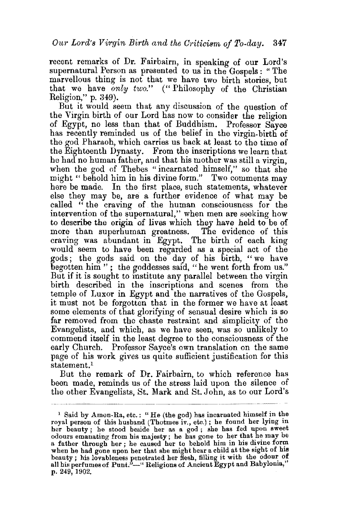recent remarks of Dr. Fairbairn, in speaking of our Lord's supernatural Person as presented to us in the Gospels : " The marvellous thing is not that we have two birth stories, but that we have *only two."* ("Philosophy of the Christian Religion," p. 349).

But it would seem that any discussion of the question of the Virgin birth of our Lord has now to consider the religion of Egypt, no less than that of Buddhism. Professor: Sayee has recently reminded us of the belief in the virgin-birth of the god Pharaoh, which carries us back at least to the time of the Eighteenth Dynasty. From the inscriptions we learn that he had no human father, and that his mother was still a virgin, when the god of Thebes "incarnated himself," so that she might " behold him in his divine form." Two comments may here be made. In the first place, such statements, whatever else they may be, are a further evidence of what may be called " the craving of the human consciousness for the intervention of the supernatural," when men are seeking how to describe the origin of lives which they have held to be of more than superhuman greatness. The evidence of this craving was abundant in Egypt. The birth of each king would seem to have been regarded as a special act of the gods; the gods said on the day of his birth, "we have begotten him "; the goddesses said, " he went forth from us." But if it is sought to institute any parallel between the virgin birth described in the inscriptions and scenes from the temple of Luxor in Egypt and the narratives of the Gospels, it must not be forgotten that in the former we have at least some elements of that glorifying of sensual desire which is so far removed from the chaste restraint and simplicity of the Evangelists, and which, as we have seen, was so unlikely to commend itself in the least degree to the consciousness of the early Church. Professor Sayee's own translation on the same page of his work gives us quite sufficient justification for this statement.<sup>1</sup>

But the remark of Dr. Fairbairn, to which reference has been made, reminds us of the stress laid upon the silence of the other Evangelists, St. Mark and St. John, as to our Lord's

··-····---~--~·-·-- ~--

<sup>&</sup>lt;sup>1</sup> Said by Amon-Ra, etc.: "He (the god) has incarnated himself in the royal person of this husband (Thotmes iv., etc.); he found her lying in her beauty; he stood beside her as a god; she has fed upon sweet odours emanating from his majesty; he has gone to her that he may be a father through her; he caused her to behold him in his divine form when he had gone upon her that she might bear a child at the sight of his beauty ; his lovableness penetrated her Hesh, filling it with the odour of<br>all his perfumes of Punt."----" Religions of Ancient Egypt and Babylonia," p. 249, 1902.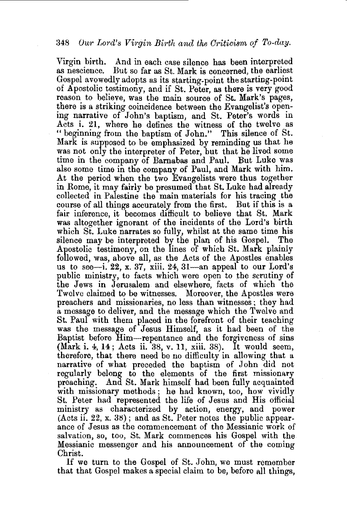Virgin birth. And in each case silence has been interpreted as nescience. But so far as St. Mark is concerned, the earliest Gospel avowedly adopts as its starting-point the starting-point of Apostolic testimony, and if St. Peter, as there is very good reason to believe, was the main source of St. Mark's pages, there is a striking coincidence between the Evangelist's opening narrative of John's baptism, and St. Peter's words in Acts i. 21, where he defines the witness of the twelve as "beginning from the baptism of John." This silence of St. Mark is supposed to be emphasized by reminding us that he was not only the interpreter of Peter, but that he lived some time in the company of Barnabas and Paul. But Luke was also some time in the company of Paul, and Mark with him. At the period when the two Evangelists were thus together in Rome, it may fairly be presumed that St. Luke had already collected in Palestine the main materials for his tracing the course of all things accurately from the first. But if this is a fair inference, it becomes difficult to believe that St. Mark was altogether ignorant of the incidents of the Lord's birth which St. Luke narrates so fully, whilst at the same time his silence may be interpreted by the plan of his GospeL The Apostolic testimony, on the lines of which St. Mark plainly followed, was, above all, as the Acts of the Apostles enables us to see-i. 22, x. 37, xiii. 24, 31-an appeal to our Lord's public ministry, to facts which were open to the scrutiny of the Jews in Jerusalem and elsewhere, facts of which the Twelve claimed to be witnesses. preachers and missionaries, no less than witnesses ; they had a message to deliver, and the message which the Twelve and St. Paul with them placed in the forefront of their teaching was the message of Jesus Himself, as it had been of the Baptist before Him-repentance and the forgiveness of sins (Mark i. 4, 14; Acts ii. 38, v. 11, xiii. 38). It would seem, therefore, that there need be no difficulty in allowing that a narrative of what preceded the baptism of John did not regularly belong to the elements of the first missionary preaching. And St. Mark himself had been fully acquainted with missionary methods; he had known, too, how vividly St. Peter had represented the life of Jesus and His official ministry as characterized by action, energy, and power  $(Acts ii. 22, x. 38)$ ; and as St. Peter notes the public appearance of Jesus as the commencement of the Messianic work of salvation, so, too, St. Mark commences his Gospel with the Messianic messenger and his announcement of the coming Christ.

If we turn to the Gospel of St. John, we must remember that that Gospel makes a special claim to be, before all things,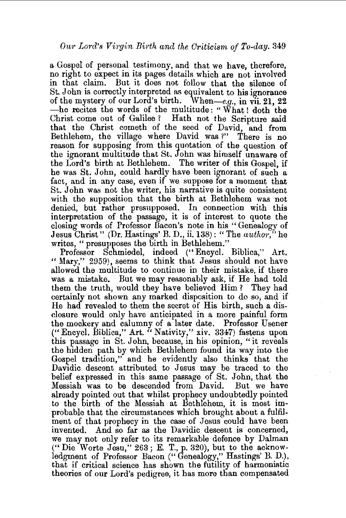a Gospel of personal testimony, and that we have, therefore, no right to expect in its pages details which are not involved in that claim. But it does not follow that the silence of St. John is correctly interpreted as equivalent to his ignorance of the mystery of our Lord's birth. When-e.g., in vii. 21, 22 -he recites the words of the multitude: " What ! doth the Christ come out of Galilee ? Hath not the Scripture said that the Christ cometh of the seed of David, and from Bethlehem, the village where David was ?" There is no reason for supposing from this quotation of the question of the ignorant multitude that St. John was himself unaware of the Lord's birth at Bethlehem. The writer of this Gospel, if he was St. John, could hardly have been ignorant of such a fact, and in any case, even if we suppose for a moment that St. John was not the writer, his narrative is quite consistent with the supposition that the birth at Bethlehem was not denied, but rather presupposed. In connection with this interpretation of the passage, it is of interest to quote the closing words of Professor Bacon's note in his "Genealogy of Jesus Christ" (Dr. Hastings' B. D., ii. 138): "The *author·,''* he writes, "presupposes the birth in Bethlehem."

Professor Schmiedel, indeed (" Encycl. Biblica," Art. " Mary," 2959), seems to think that Jesus should not have allowed the multitude to continue in their mistake, if there was a mistake. But we may reasonably ask, if He had told them the truth, would they have believed Him? They had certainly not shown any marked disposition to do so; and if He had revealed to them the secret of His birth, such a disclosure would only have anticipated in a more painful form the mockery and calumny of a later date. Professor Usener (" Encycl. lliblica," Art. "Nativity," xiv. 3347) fastens upon this passage in St. John, because, in his opinion, "it reveals the hidden path by which Bethlehem found its way into the Gospel tradition,'' and he evidently also thinks that the Davidic descent attributed to Jesus may be traced to the belief expressed in this same passage of St. John, that the :Messiah was to be descended from David. But we have already pointed out that whilst prophecy undoubtedly pointed to the birth of the Messiah at Bethlehem, it is most improbable that the circumstances which brought about a fulfilment of that prophecy in the case of Jesus could have been invented. And so far as the Davidic descent is concerned, we may not only refer to its remarkable defence by Dalman  $($ " Die Worte Jesu," 263; E. T., p. 320), but to the acknowledgment of Professor Bacon ("Genealogy," Hastings' B. D.), that if critical science has shown the futility of harmonistic theories of our Lord's pedigree, it has more than compensated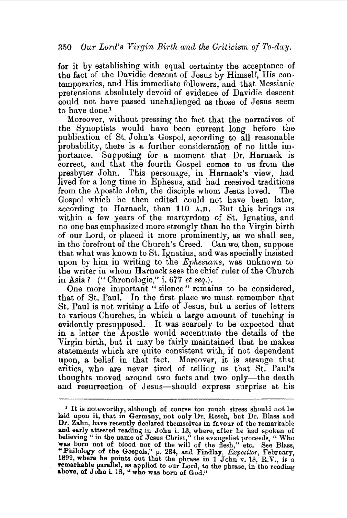for it by establishing with equal certainty the acceptance of the fact of the Davidic descent of Jesus by Himself, His contemporaries, and His immediate followers, and that Messianic pretensions absolutely devoid of evidence of Davidic descent could not have passed unchallenged as those of Jesus seem to have done.<sup>1</sup>

Moreover, without pressing the fact that the narratives of the Synoptists would have been current long before the publication of St. John's Gospel, according to all reasonable probability, there is a further consideration of no little importance. Supposing for a moment that Dr. Harnack is correct, and that the fourth Gospel comes to us from the presbyter John. This personage, in Harnack's view, had lived for a long time in Ephesus, and had received traditions from the Apostle John, the disciple whom Jesus loved. The Gospel which he then edited could not have been later, according to Harnack, than 110 A.D. But this brings us within a few years of the martyrdom of St. Ignatius, and no one has emphasized more strongly than be the Virgin birth of our Lord, or placed it more prominently, as we shall see, in the forefront of the Church's Creed. Can we, then, suppose that what was known to St. Ignatius, and was specially insisted upon by him in writing to the *Ephesians,* was unknown to the writer in whom Harnack sees the chief ruler of the Church in Asia? ("Chronologie," i. 677 *et seq.*).

One more important "silence" remains to be considered. that of St. Paul. In the first place we must remember that St. Paul is not writing a Life of Jesus, but a series of letters to various Churches, in which a large amount of teaching is evidently presupposed. It was scarcely to be expected that in a letter the Apostle would accentuate the details of the Virgin birth, but It may be fairly maintained that he makes statements which are quite consistent with, if not dependent upon, a belief in that fact. Moreover, it is strange that critics, who are never tired of telling us that St. Paul's thoughts moved around two facts and two only-the death and resurrection of Jesus-should express surprise at his

<sup>&</sup>lt;sup>1</sup> It is noteworthy, although of course too much stress should not be laid upon it, that in Germany, not only Dr. Resch, but Dr. Blass and Dr. Zahn, have recently declared themselves in favour of the remarkable and early attested reading in John i. 13, where, after he had spoken of believing "in the name of Jesus Christ," the evangelist proceeds, "Who believing " in the name of Jesus Christ," the evangelist proceeds, "Who was born not of blood nor of the will of the flesh," etc. See Blass, "Philology of the Gospels," p. 234, and Findlay, *Expositor*, February, 1899, where he points out that the phrase in 1 John v. 18, R.V., is a remarkable parallel, as applied to our Lord, to the phrase, in the reading abov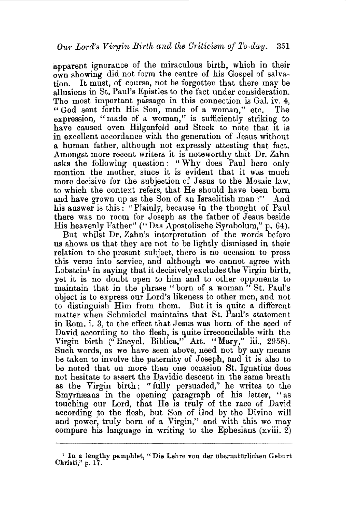apparent ignorance of the miraculous birth, which in their own showing did not form the centre of his Gospel of salvation. It must, of course, not be forgotten that there may be allusions in St. Paul's Epistles to the fact under consideration. The most important passage in this connection is Gal. iv. 4, "God sent forth His Son, made of a woman." etc. The "God sent forth His Son, made of a woman," etc. expression, "made of a woman," is sufficiently striking to have caused even Hilgenfeld and Steck to note that it is in excellent accordance with the generation of Jesus without a human father, although not expressly attesting that fact. Amongst more recent writers it is noteworthy that Dr. Zahn asks the following question : " Why does Paul here only mention the mother, since it is evident that it was much more decisive for the subjection of Jesus to the Mosaic law, to which the context refers, that He should have been born and have grown up as the Son of an Israelitish man ?" And his answer is this: "Plainly, because in the thought of Paul there was no room for Joseph as the father of Jesus beside His heavenly Father" (" Das Apostolische Symbolum," p. 64).

But whilst Dr. Zahn's interpretation of the words before us shows us that they are not to be lightly dismissed in their relation to the present subject, there is no occasion to press this verse into service, and although we cannot agree with  $L$ obstein<sup>1</sup> in saying that it decisively excludes the Virgin birth, yet it is no doubt open to him and to other opponents to maintain that in the phrase "born of a woman" St. Paul's object is to express our Lord's likeness to other men, and not to distinguish Him from them. But it is quite a different matter when Schmiedel maintains that St. Paul's statement in Rom. i. 3, to the effect that Jesus was born of the seed of David according to the flesh, is quite irreconcilable with the Virgin birth (" Encycl. Biblica," Art. "Mary," iii., 2958). Such words, as we have seen above, need not by any means be taken to involve the paternity of Joseph, and it is also to be noted that on more than one occasion St. Ignatius does not hesitate to assert the Davidic descent in the same breath as the Virgin birth ; "fully persuaded," he writes to the Smyrmeans in the opening paragraph of his letter, "as touching our Lord, that He is truly of the race of David according to the flesh, but Son of God by the Divine will and power, truly born of a Virgin," and with this we may compare his language in writing to the Ephesians (xviii.  $\tilde{2}$ )

<sup>&</sup>lt;sup>1</sup> In a lengthy pamphlet, "Die Lehre von der übernatürlichen Geburt Christi," p. 17.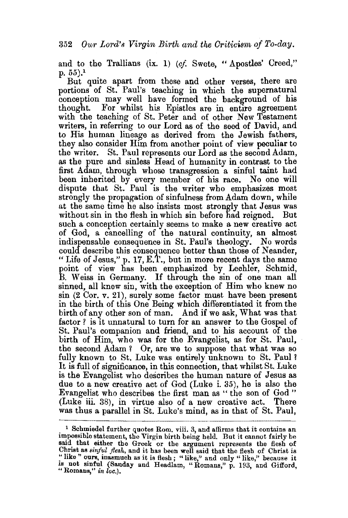and to the Trallians (ix. 1) *(cf.* Swete, "Apostles' Creed,"  $p. 55$ ).<sup>1</sup>

But quite apart from these and other verses, there are portions of St. Paul's teaching in which the supernatural conception may well have formed the background of his thought. For whilst his Enistles are in entire agreement For whilst his Epistles are in entire agreement with the teaching of St. Peter and of other New Testament writers, in referring to our Lord as of the seed of David, and to His human lineage as derived from the Jewish fathers, they also consider Him from another point of view peculiar to the writer. St. Paul represents our Lord as the second Adam. St. Paul represents our Lord as the second Adam, as the pure and sinless Head of humanity in contrast to the first Adam, through whose transgression a sinful taint had been inherited by every member of his race. No one will dispute that St. Paul is the writer who emphasizes most strongly the propagation of sinfulness from Adam down, while at the same time he also insists most strongly that Jesus was without sin in the flesh in which sin before had reigned. But such a conception certainly seems to make a new creative act of God, a cancelling of the natural continuity, an almost indispensable consequence in St. Paul's theology. No words could describe this consequence better than those of Neander, "Life of Jesus," p. 17, E.T., but in more recent days the same point of view has been emphasized by Lechler, Schmid, B. Weiss in Germany. If through the sin of one man all sinned, all knew sin, with the exception of Him who knew no  $\sin$  (2 Cor. v. 21), surely some factor must have been present in the birth of this One Being which differentiated it from the birth of any other son of man. And if we ask, What was that factor ? is it unnatural to turn for an answer to the Gospel of St. Paul's companion and friend, and to his account of the birth of Him, who was for the Evangelist, as for St. Paul, the second Adam? Or, are we to suppose that what was so fully known to St. Luke was entirely unknown to St. Paul? It is full of significance, in this connection, that whilst St. Luke is the Evangelist who describes the human nature of Jesus as due to a new creative act of God (Luke i. 35), he is also the Evangelist who describes the first man as " the son of God" (Luke iii. 38), in virtue also of a new creative act. There was thus a parallel in St. Luke's mind, as in that of St. Paul,

<sup>&</sup>lt;sup>1</sup> Schmiedel further quotes Rom. viii. 3, and affirms that it contains an impossible statement, the Virgin birth being held. But it cannot fairly be said that either the Greek or the argument represents the flesh of Christ as *sinful flesh,* and it has been well said that the flesh of Christ is is not sinful (Sanday and Headlam, "Romans," p. 193, and Gifford, "Romans," *in loc.*).